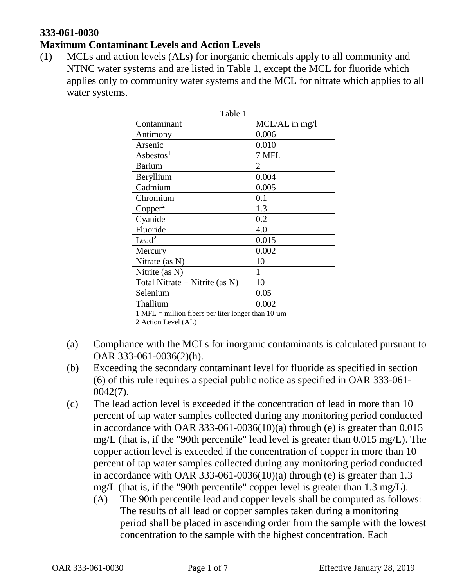### **333-061-0030**

### **Maximum Contaminant Levels and Action Levels**

(1) MCLs and action levels (ALs) for inorganic chemicals apply to all community and NTNC water systems and are listed in Table 1, except the MCL for fluoride which applies only to community water systems and the MCL for nitrate which applies to all water systems.

| ravie i                           |                |
|-----------------------------------|----------------|
| Contaminant                       | MCL/AL in mg/l |
| Antimony                          | 0.006          |
| Arsenic                           | 0.010          |
| Asbestos <sup>1</sup>             | 7 MFL          |
| <b>Barium</b>                     | 2              |
| Beryllium                         | 0.004          |
| Cadmium                           | 0.005          |
| Chromium                          | 0.1            |
| Copper <sup>2</sup>               | 1.3            |
| Cyanide                           | 0.2            |
| Fluoride                          | 4.0            |
| Lead <sup>2</sup>                 | 0.015          |
| Mercury                           | 0.002          |
| Nitrate (as N)                    | 10             |
| Nitrite (as N)                    |                |
| Total Nitrate + Nitrite (as $N$ ) | 10             |
| Selenium                          | 0.05           |
| Thallium                          | 0.002          |

#### Table 1

1 MFL = million fibers per liter longer than 10  $\mu$ m

2 Action Level (AL)

- (a) Compliance with the MCLs for inorganic contaminants is calculated pursuant to OAR 333-061-0036(2)(h).
- (b) Exceeding the secondary contaminant level for fluoride as specified in section (6) of this rule requires a special public notice as specified in OAR 333-061- 0042(7).
- (c) The lead action level is exceeded if the concentration of lead in more than 10 percent of tap water samples collected during any monitoring period conducted in accordance with OAR 333-061-0036(10)(a) through (e) is greater than  $0.015$ mg/L (that is, if the "90th percentile" lead level is greater than 0.015 mg/L). The copper action level is exceeded if the concentration of copper in more than 10 percent of tap water samples collected during any monitoring period conducted in accordance with OAR 333-061-0036(10)(a) through (e) is greater than  $1.3$ mg/L (that is, if the "90th percentile" copper level is greater than 1.3 mg/L).
	- (A) The 90th percentile lead and copper levels shall be computed as follows: The results of all lead or copper samples taken during a monitoring period shall be placed in ascending order from the sample with the lowest concentration to the sample with the highest concentration. Each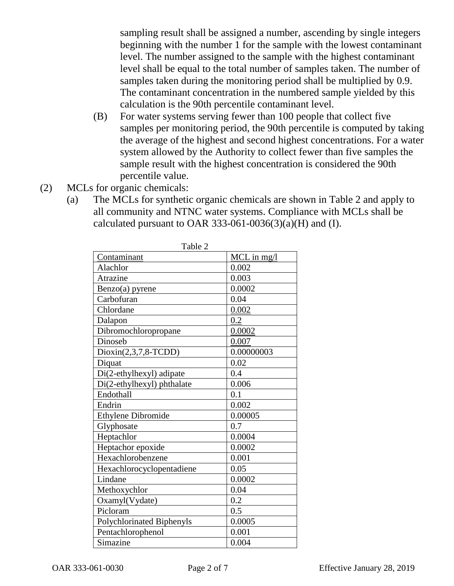sampling result shall be assigned a number, ascending by single integers beginning with the number 1 for the sample with the lowest contaminant level. The number assigned to the sample with the highest contaminant level shall be equal to the total number of samples taken. The number of samples taken during the monitoring period shall be multiplied by 0.9. The contaminant concentration in the numbered sample yielded by this calculation is the 90th percentile contaminant level.

- (B) For water systems serving fewer than 100 people that collect five samples per monitoring period, the 90th percentile is computed by taking the average of the highest and second highest concentrations. For a water system allowed by the Authority to collect fewer than five samples the sample result with the highest concentration is considered the 90th percentile value.
- (2) MCLs for organic chemicals:
	- (a) The MCLs for synthetic organic chemicals are shown in Table 2 and apply to all community and NTNC water systems. Compliance with MCLs shall be calculated pursuant to OAR 333-061-0036(3)(a)(H) and (I).

| Contaminant                      | $MCL$ in mg/l |
|----------------------------------|---------------|
| Alachlor                         | 0.002         |
| <b>Atrazine</b>                  | 0.003         |
| Benzo(a) pyrene                  | 0.0002        |
| Carbofuran                       | 0.04          |
| Chlordane                        | 0.002         |
| Dalapon                          | 0.2           |
| Dibromochloropropane             | 0.0002        |
| Dinoseb                          | 0.007         |
| $Dioxin(2,3,7,8-TCDD)$           | 0.00000003    |
| Diquat                           | 0.02          |
| Di(2-ethylhexyl) adipate         | 0.4           |
| Di(2-ethylhexyl) phthalate       | 0.006         |
| Endothall                        | 0.1           |
| Endrin                           | 0.002         |
| <b>Ethylene Dibromide</b>        | 0.00005       |
| Glyphosate                       | 0.7           |
| Heptachlor                       | 0.0004        |
| Heptachor epoxide                | 0.0002        |
| Hexachlorobenzene                | 0.001         |
| Hexachlorocyclopentadiene        | 0.05          |
| Lindane                          | 0.0002        |
| Methoxychlor                     | 0.04          |
| Oxamyl(Vydate)                   | 0.2           |
| Picloram                         | 0.5           |
| <b>Polychlorinated Biphenyls</b> | 0.0005        |
| Pentachlorophenol                | 0.001         |
| Simazine                         | 0.004         |

Table 2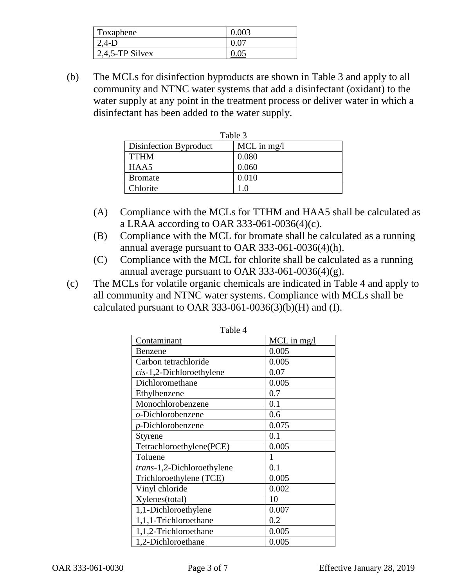| Toxaphene          |  |
|--------------------|--|
| $\angle A-D$       |  |
| $2,4,5$ -TP Silvex |  |

(b) The MCLs for disinfection byproducts are shown in Table 3 and apply to all community and NTNC water systems that add a disinfectant (oxidant) to the water supply at any point in the treatment process or deliver water in which a disinfectant has been added to the water supply.

| Table 3                |               |
|------------------------|---------------|
| Disinfection Byproduct | $MCL$ in mg/l |
| <b>TTHM</b>            | 0.080         |
| HAA5                   | 0.060         |
| <b>Bromate</b>         | 0.010         |
| Chlorite               |               |

- (A) Compliance with the MCLs for TTHM and HAA5 shall be calculated as a LRAA according to OAR 333-061-0036(4)(c).
- (B) Compliance with the MCL for bromate shall be calculated as a running annual average pursuant to OAR 333-061-0036(4)(h).
- (C) Compliance with the MCL for chlorite shall be calculated as a running annual average pursuant to OAR 333-061-0036(4)(g).
- (c) The MCLs for volatile organic chemicals are indicated in Table 4 and apply to all community and NTNC water systems. Compliance with MCLs shall be calculated pursuant to OAR 333-061-0036(3)(b)(H) and (I).

| Table 4                      |               |
|------------------------------|---------------|
| Contaminant                  | $MCL$ in mg/l |
| Benzene                      | 0.005         |
| Carbon tetrachloride         | 0.005         |
| $cis-1$ , 2-Dichloroethylene | 0.07          |
| Dichloromethane              | 0.005         |
| Ethylbenzene                 | 0.7           |
| Monochlorobenzene            | 0.1           |
| o-Dichlorobenzene            | 0.6           |
| <i>p</i> -Dichlorobenzene    | 0.075         |
| Styrene                      | 0.1           |
| Tetrachloroethylene(PCE)     | 0.005         |
| Toluene                      |               |
| trans-1,2-Dichloroethylene   | 0.1           |
| Trichloroethylene (TCE)      | 0.005         |
| Vinyl chloride               | 0.002         |
| Xylenes(total)               | 10            |
| 1,1-Dichloroethylene         | 0.007         |
| 1,1,1-Trichloroethane        | 0.2           |
| 1,1,2-Trichloroethane        | 0.005         |
| 1,2-Dichloroethane           | 0.005         |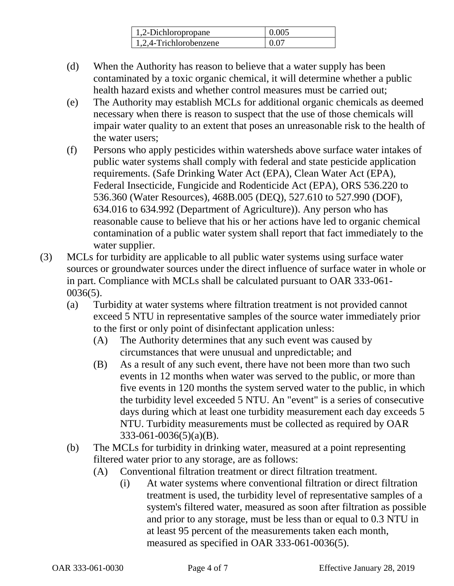| 1,2-Dichloropropane    | 0.005       |
|------------------------|-------------|
| 1.2.4-Trichlorobenzene | <u>በ በ7</u> |

- (d) When the Authority has reason to believe that a water supply has been contaminated by a toxic organic chemical, it will determine whether a public health hazard exists and whether control measures must be carried out;
- (e) The Authority may establish MCLs for additional organic chemicals as deemed necessary when there is reason to suspect that the use of those chemicals will impair water quality to an extent that poses an unreasonable risk to the health of the water users;
- (f) Persons who apply pesticides within watersheds above surface water intakes of public water systems shall comply with federal and state pesticide application requirements. (Safe Drinking Water Act (EPA), Clean Water Act (EPA), Federal Insecticide, Fungicide and Rodenticide Act (EPA), ORS 536.220 to 536.360 (Water Resources), 468B.005 (DEQ), 527.610 to 527.990 (DOF), 634.016 to 634.992 (Department of Agriculture)). Any person who has reasonable cause to believe that his or her actions have led to organic chemical contamination of a public water system shall report that fact immediately to the water supplier.
- (3) MCLs for turbidity are applicable to all public water systems using surface water sources or groundwater sources under the direct influence of surface water in whole or in part. Compliance with MCLs shall be calculated pursuant to OAR 333-061- 0036(5).
	- (a) Turbidity at water systems where filtration treatment is not provided cannot exceed 5 NTU in representative samples of the source water immediately prior to the first or only point of disinfectant application unless:
		- (A) The Authority determines that any such event was caused by circumstances that were unusual and unpredictable; and
		- (B) As a result of any such event, there have not been more than two such events in 12 months when water was served to the public, or more than five events in 120 months the system served water to the public, in which the turbidity level exceeded 5 NTU. An "event" is a series of consecutive days during which at least one turbidity measurement each day exceeds 5 NTU. Turbidity measurements must be collected as required by OAR 333-061-0036(5)(a)(B).
	- (b) The MCLs for turbidity in drinking water, measured at a point representing filtered water prior to any storage, are as follows:
		- (A) Conventional filtration treatment or direct filtration treatment.
			- (i) At water systems where conventional filtration or direct filtration treatment is used, the turbidity level of representative samples of a system's filtered water, measured as soon after filtration as possible and prior to any storage, must be less than or equal to 0.3 NTU in at least 95 percent of the measurements taken each month, measured as specified in OAR 333-061-0036(5).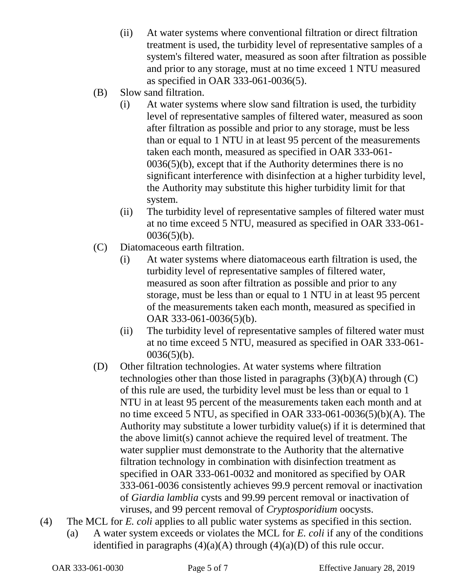- (ii) At water systems where conventional filtration or direct filtration treatment is used, the turbidity level of representative samples of a system's filtered water, measured as soon after filtration as possible and prior to any storage, must at no time exceed 1 NTU measured as specified in OAR 333-061-0036(5).
- (B) Slow sand filtration.
	- (i) At water systems where slow sand filtration is used, the turbidity level of representative samples of filtered water, measured as soon after filtration as possible and prior to any storage, must be less than or equal to 1 NTU in at least 95 percent of the measurements taken each month, measured as specified in OAR 333-061- 0036(5)(b), except that if the Authority determines there is no significant interference with disinfection at a higher turbidity level, the Authority may substitute this higher turbidity limit for that system.
	- (ii) The turbidity level of representative samples of filtered water must at no time exceed 5 NTU, measured as specified in OAR 333-061-  $0036(5)(b)$ .
- (C) Diatomaceous earth filtration.
	- (i) At water systems where diatomaceous earth filtration is used, the turbidity level of representative samples of filtered water, measured as soon after filtration as possible and prior to any storage, must be less than or equal to 1 NTU in at least 95 percent of the measurements taken each month, measured as specified in OAR 333-061-0036(5)(b).
	- (ii) The turbidity level of representative samples of filtered water must at no time exceed 5 NTU, measured as specified in OAR 333-061-  $0036(5)(b)$ .
- (D) Other filtration technologies. At water systems where filtration technologies other than those listed in paragraphs  $(3)(b)(A)$  through  $(C)$ of this rule are used, the turbidity level must be less than or equal to 1 NTU in at least 95 percent of the measurements taken each month and at no time exceed 5 NTU, as specified in OAR 333-061-0036(5)(b)(A). The Authority may substitute a lower turbidity value(s) if it is determined that the above limit(s) cannot achieve the required level of treatment. The water supplier must demonstrate to the Authority that the alternative filtration technology in combination with disinfection treatment as specified in OAR 333-061-0032 and monitored as specified by OAR 333-061-0036 consistently achieves 99.9 percent removal or inactivation of *Giardia lamblia* cysts and 99.99 percent removal or inactivation of viruses, and 99 percent removal of *Cryptosporidium* oocysts.
- (4) The MCL for *E. coli* applies to all public water systems as specified in this section. (a) A water system exceeds or violates the MCL for *E. coli* if any of the conditions identified in paragraphs  $(4)(a)(A)$  through  $(4)(a)(D)$  of this rule occur.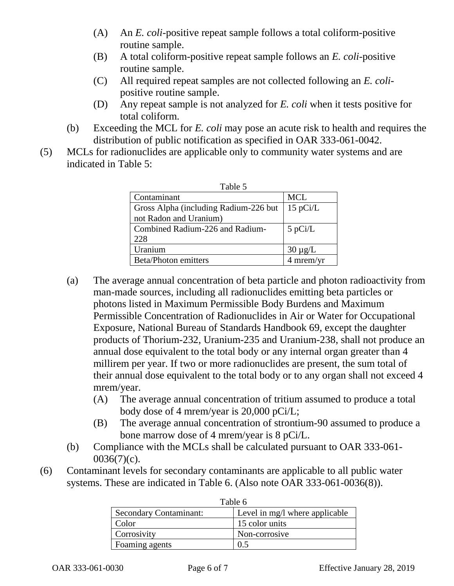- (A) An *E. coli*-positive repeat sample follows a total coliform-positive routine sample.
- (B) A total coliform-positive repeat sample follows an *E. coli*-positive routine sample.
- (C) All required repeat samples are not collected following an *E. coli*positive routine sample.
- (D) Any repeat sample is not analyzed for *E. coli* when it tests positive for total coliform.
- (b) Exceeding the MCL for *E. coli* may pose an acute risk to health and requires the distribution of public notification as specified in OAR 333-061-0042.
- (5) MCLs for radionuclides are applicable only to community water systems and are indicated in Table 5:

| Table 5                                |              |
|----------------------------------------|--------------|
| Contaminant                            | <b>MCL</b>   |
| Gross Alpha (including Radium-226 but) | $15$ pCi/L   |
| not Radon and Uranium)                 |              |
| Combined Radium-226 and Radium-        | $5$ pCi/L    |
| 228                                    |              |
| Uranium                                | $30 \mu g/L$ |
| <b>Beta/Photon emitters</b>            | 4 mrem/yr    |

- (a) The average annual concentration of beta particle and photon radioactivity from man-made sources, including all radionuclides emitting beta particles or photons listed in Maximum Permissible Body Burdens and Maximum Permissible Concentration of Radionuclides in Air or Water for Occupational Exposure, National Bureau of Standards Handbook 69, except the daughter products of Thorium-232, Uranium-235 and Uranium-238, shall not produce an annual dose equivalent to the total body or any internal organ greater than 4 millirem per year. If two or more radionuclides are present, the sum total of their annual dose equivalent to the total body or to any organ shall not exceed 4 mrem/year.
	- (A) The average annual concentration of tritium assumed to produce a total body dose of 4 mrem/year is 20,000 pCi/L;
	- (B) The average annual concentration of strontium-90 assumed to produce a bone marrow dose of 4 mrem/year is 8 pCi/L.
- (b) Compliance with the MCLs shall be calculated pursuant to OAR 333-061-  $0036(7)(c)$ .
- (6) Contaminant levels for secondary contaminants are applicable to all public water systems. These are indicated in Table 6. (Also note OAR 333-061-0036(8)).

| Table o                       |                                |
|-------------------------------|--------------------------------|
| <b>Secondary Contaminant:</b> | Level in mg/l where applicable |
| Color                         | 15 color units                 |
| Corrosivity                   | Non-corrosive                  |
| Foaming agents                | 0.5                            |

| Table 6 |
|---------|
|---------|